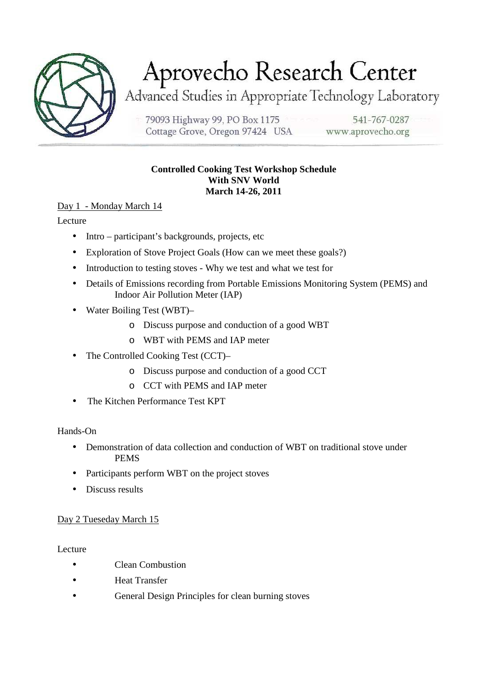

# Aprovecho Research Center

Advanced Studies in Appropriate Technology Laboratory

79093 Highway 99, PO Box 1175 Cottage Grove, Oregon 97424 USA

541-767-0287 www.aprovecho.org

### **Controlled Cooking Test Workshop Schedule With SNV World March 14-26, 2011**

Day 1 - Monday March 14

Lecture

- Intro participant's backgrounds, projects, etc
- Exploration of Stove Project Goals (How can we meet these goals?)
- Introduction to testing stoves Why we test and what we test for
- Details of Emissions recording from Portable Emissions Monitoring System (PEMS) and Indoor Air Pollution Meter (IAP)
- Water Boiling Test (WBT)
	- o Discuss purpose and conduction of a good WBT
	- o WBT with PEMS and IAP meter
- The Controlled Cooking Test (CCT)–
	- o Discuss purpose and conduction of a good CCT
	- o CCT with PEMS and IAP meter
- The Kitchen Performance Test KPT

## Hands-On

- Demonstration of data collection and conduction of WBT on traditional stove under PEMS
- Participants perform WBT on the project stoves
- Discuss results

## Day 2 Tueseday March 15

**Lecture** 

- Clean Combustion
- Heat Transfer
- General Design Principles for clean burning stoves